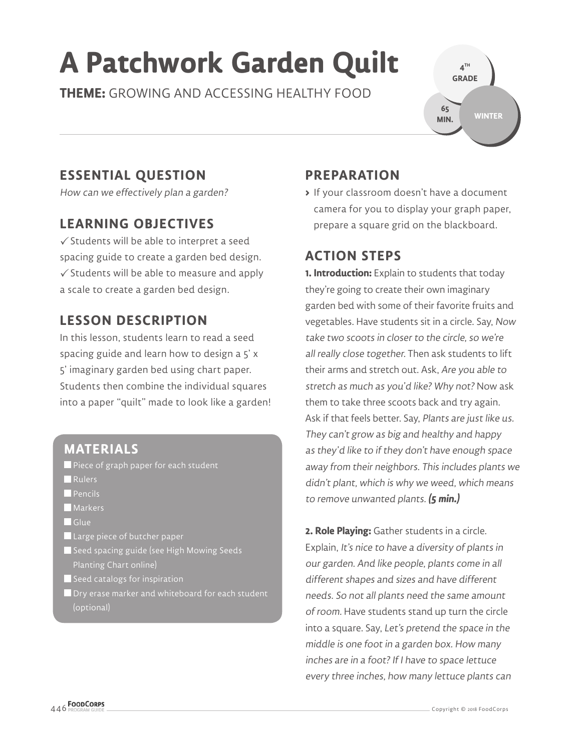# **A Patchwork Garden Quilt**

**THEME:** GROWING AND ACCESSING HEALTHY FOOD

**4 TH GRADE WINTER 65 MIN.**

# **ESSENTIAL QUESTION**

How can we effectively plan a garden?

# **LEARNING OBJECTIVES**

 $\checkmark$  Students will be able to interpret a seed spacing guide to create a garden bed design.  $\checkmark$  Students will be able to measure and apply a scale to create a garden bed design.

### **LESSON DESCRIPTION**

In this lesson, students learn to read a seed spacing guide and learn how to design a 5' x 5' imaginary garden bed using chart paper. Students then combine the individual squares into a paper "quilt" made to look like a garden!

#### **MATERIALS**

Piece of graph paper for each student

- **Rulers**
- **Pencils**
- **Markers**
- Glue
- **Large piece of butcher paper**
- Seed spacing guide (see High Mowing Seeds Planting Chart online)
- $\blacksquare$  Seed catalogs for inspiration
- **D** Dry erase marker and whiteboard for each student (optional)

# **PREPARATION**

**>** If your classroom doesn't have a document camera for you to display your graph paper, prepare a square grid on the blackboard.

#### **ACTION STEPS**

**1. Introduction:** Explain to students that today they're going to create their own imaginary garden bed with some of their favorite fruits and vegetables. Have students sit in a circle. Say, Now take two scoots in closer to the circle, so we're all really close together. Then ask students to lift their arms and stretch out. Ask, Are you able to stretch as much as you'd like? Why not? Now ask them to take three scoots back and try again. Ask if that feels better. Say, Plants are just like us. They can't grow as big and healthy and happy as they'd like to if they don't have enough space away from their neighbors. This includes plants we didn't plant, which is why we weed, which means to remove unwanted plants. **(5 min.)**

**2. Role Playing:** Gather students in a circle. Explain, It's nice to have a diversity of plants in our garden. And like people, plants come in all different shapes and sizes and have different needs. So not all plants need the same amount of room. Have students stand up turn the circle into a square. Say, Let's pretend the space in the middle is one foot in a garden box. How many inches are in a foot? If I have to space lettuce every three inches, how many lettuce plants can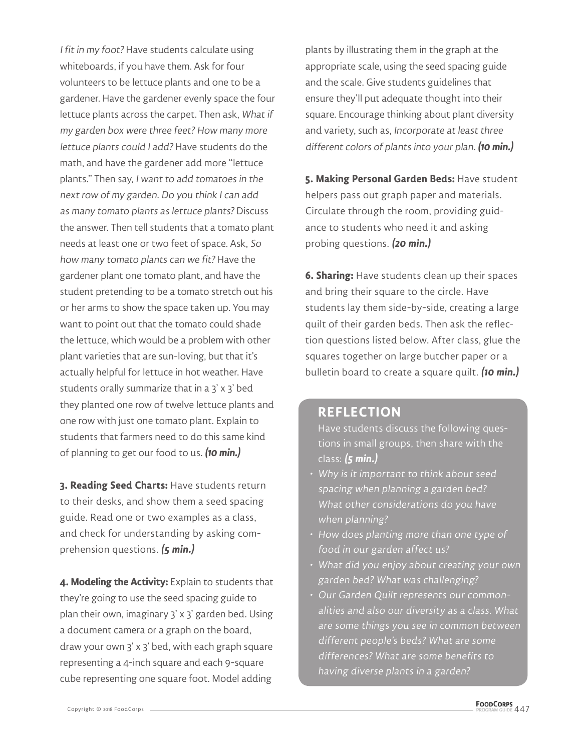I fit in my foot? Have students calculate using whiteboards, if you have them. Ask for four volunteers to be lettuce plants and one to be a gardener. Have the gardener evenly space the four lettuce plants across the carpet. Then ask, What if my garden box were three feet? How many more lettuce plants could I add? Have students do the math, and have the gardener add more "lettuce plants." Then say, I want to add tomatoes in the next row of my garden. Do you think I can add as many tomato plants as lettuce plants? Discuss the answer. Then tell students that a tomato plant needs at least one or two feet of space. Ask, So how many tomato plants can we fit? Have the gardener plant one tomato plant, and have the student pretending to be a tomato stretch out his or her arms to show the space taken up. You may want to point out that the tomato could shade the lettuce, which would be a problem with other plant varieties that are sun-loving, but that it's actually helpful for lettuce in hot weather. Have students orally summarize that in a 3' x 3' bed they planted one row of twelve lettuce plants and one row with just one tomato plant. Explain to students that farmers need to do this same kind of planning to get our food to us. **(10 min.)**

**3. Reading Seed Charts:** Have students return to their desks, and show them a seed spacing guide. Read one or two examples as a class, and check for understanding by asking comprehension questions. **(5 min.)**

**4. Modeling the Activity:** Explain to students that they're going to use the seed spacing guide to plan their own, imaginary 3' x 3' garden bed. Using a document camera or a graph on the board, draw your own 3' x 3' bed, with each graph square representing a 4-inch square and each 9-square cube representing one square foot. Model adding

plants by illustrating them in the graph at the appropriate scale, using the seed spacing guide and the scale. Give students guidelines that ensure they'll put adequate thought into their square. Encourage thinking about plant diversity and variety, such as, Incorporate at least three different colors of plants into your plan. **(10 min.)**

**5. Making Personal Garden Beds:** Have student helpers pass out graph paper and materials. Circulate through the room, providing guidance to students who need it and asking probing questions. **(20 min.)**

**6. Sharing:** Have students clean up their spaces and bring their square to the circle. Have students lay them side-by-side, creating a large quilt of their garden beds. Then ask the reflection questions listed below. After class, glue the squares together on large butcher paper or a bulletin board to create a square quilt. **(10 min.)**

#### **REFLECTION**

- Have students discuss the following questions in small groups, then share with the class: **(5 min.)**
- Why is it important to think about seed spacing when planning a garden bed? What other considerations do you have when planning?
- How does planting more than one type of food in our garden affect us?
- What did you enjoy about creating your own garden bed? What was challenging?
- Our Garden Quilt represents our commonalities and also our diversity as a class. What are some things you see in common between different people's beds? What are some differences? What are some benefits to having diverse plants in a garden?